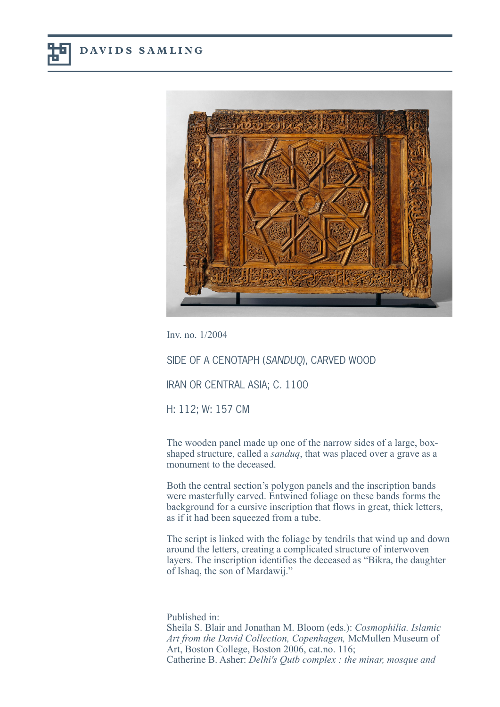

Inv. no. 1/2004

SIDE OF A CENOTAPH (SANDUQ), CARVED WOOD

IRAN OR CENTRAL ASIA; C. 1100

H: 112; W: 157 CM

The wooden panel made up one of the narrow sides of a large, boxshaped structure, called a *sanduq*, that was placed over a grave as a monument to the deceased.

Both the central section's polygon panels and the inscription bands were masterfully carved. Entwined foliage on these bands forms the background for a cursive inscription that flows in great, thick letters, as if it had been squeezed from a tube.

The script is linked with the foliage by tendrils that wind up and down around the letters, creating a complicated structure of interwoven layers. The inscription identifies the deceased as "Bikra, the daughter of Ishaq, the son of Mardawij."

Published in: Sheila S. Blair and Jonathan M. Bloom (eds.): *Cosmophilia. Islamic Art from the David Collection, Copenhagen,* McMullen Museum of Art, Boston College, Boston 2006, cat.no. 116; Catherine B. Asher: *Delhi's Qutb complex : the minar, mosque and*